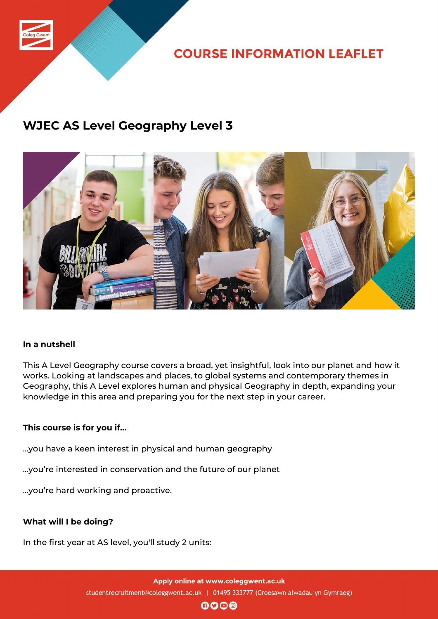

**COURSE INFORMATION LEAFLET** 

### **WJEC AS Level Geography Level 3**



### **In a nutshell**

This A Level Geography course covers a broad, yet insightful, look into our planet and how it works. Looking at landscapes and places, to global systems and contemporary themes in Geography, this A Level explores human and physical Geography in depth, expanding your knowledge in this area and preparing you for the next step in your career.

### **This course is for you if...**

...you have a keen interest in physical and human geography

...you're interested in conservation and the future of our planet

...you're hard working and proactive.

### **What will I be doing?**

In the first year at AS level, you'll study 2 units:

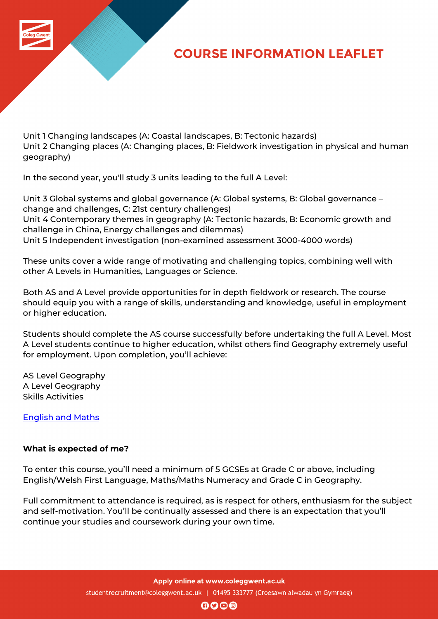

# **COURSE INFORMATION LEAFLET**

Unit 1 Changing landscapes (A: Coastal landscapes, B: Tectonic hazards) Unit 2 Changing places (A: Changing places, B: Fieldwork investigation in physical and human geography)

In the second year, you'll study 3 units leading to the full A Level:

Unit 3 Global systems and global governance (A: Global systems, B: Global governance – change and challenges, C: 21st century challenges) Unit 4 Contemporary themes in geography (A: Tectonic hazards, B: Economic growth and challenge in China, Energy challenges and dilemmas) Unit 5 Independent investigation (non-examined assessment 3000-4000 words)

These units cover a wide range of motivating and challenging topics, combining well with other A Levels in Humanities, Languages or Science.

Both AS and A Level provide opportunities for in depth fieldwork or research. The course should equip you with a range of skills, understanding and knowledge, useful in employment or higher education.

Students should complete the AS course successfully before undertaking the full A Level. Most A Level students continue to higher education, whilst others find Geography extremely useful for employment. Upon completion, you'll achieve:

AS Level Geography A Level Geography Skills Activities

English and Maths

### **[What is expected](http://www.coleggwent.ac.uk/index.php?option=com_content&view=article&id=2314) of me?**

To enter this course, you'll need a minimum of 5 GCSEs at Grade C or above, including English/Welsh First Language, Maths/Maths Numeracy and Grade C in Geography.

Full commitment to attendance is required, as is respect for others, enthusiasm for the subject and self-motivation. You'll be continually assessed and there is an expectation that you'll continue your studies and coursework during your own time.

Apply online at www.coleggwent.ac.uk

studentrecruitment@coleggwent.ac.uk | 01495 333777 (Croesawn alwadau yn Gymraeg)